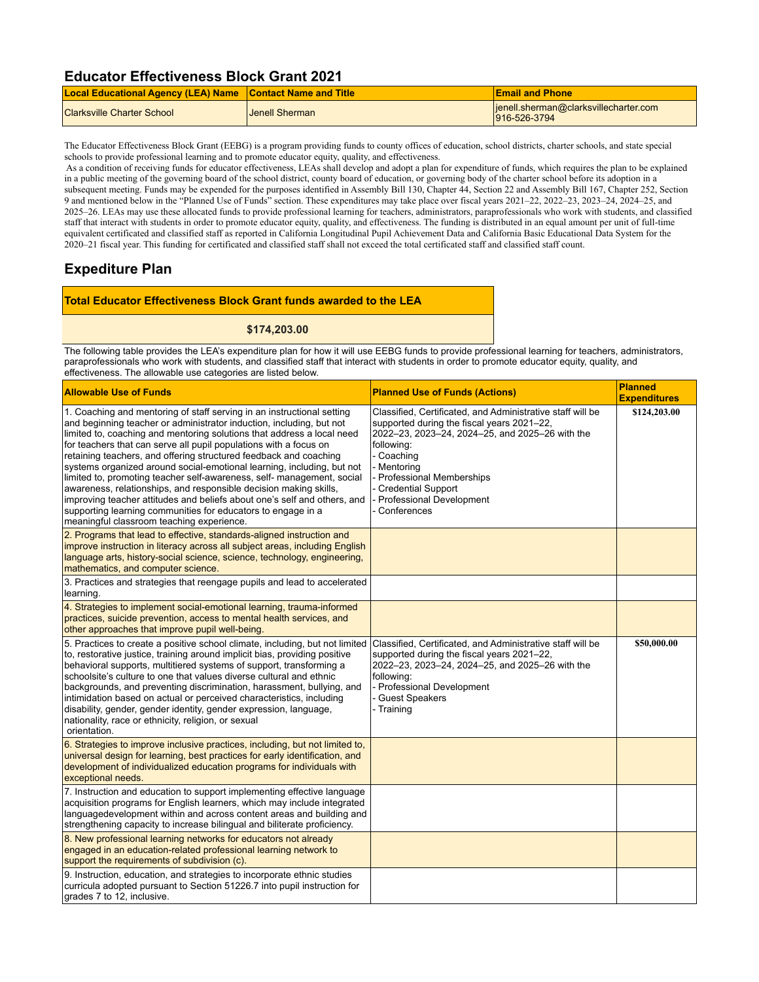## **Educator Effectiveness Block Grant 2021**

| <b>Local Educational Agency (LEA) Name Contact Name and Title</b> |                       | <b>Email and Phone</b>                                 |
|-------------------------------------------------------------------|-----------------------|--------------------------------------------------------|
| <b>Clarksville Charter School</b>                                 | <b>Jenell Sherman</b> | lienell.sherman@clarksvillecharter.com<br>916-526-3794 |

The Educator Effectiveness Block Grant (EEBG) is a program providing funds to county offices of education, school districts, charter schools, and state special schools to provide professional learning and to promote educator equity, quality, and effectiveness.

 As a condition of receiving funds for educator effectiveness, LEAs shall develop and adopt a plan for expenditure of funds, which requires the plan to be explained in a public meeting of the governing board of the school district, county board of education, or governing body of the charter school before its adoption in a subsequent meeting. Funds may be expended for the purposes identified in Assembly Bill 130, Chapter 44, Section 22 and Assembly Bill 167, Chapter 252, Section 9 and mentioned below in the "Planned Use of Funds" section. These expenditures may take place over fiscal years 2021–22, 2022–23, 2023–24, 2024–25, and 2025–26. LEAs may use these allocated funds to provide professional learning for teachers, administrators, paraprofessionals who work with students, and classified staff that interact with students in order to promote educator equity, quality, and effectiveness. The funding is distributed in an equal amount per unit of full-time equivalent certificated and classified staff as reported in California Longitudinal Pupil Achievement Data and California Basic Educational Data System for the 2020–21 fiscal year. This funding for certificated and classified staff shall not exceed the total certificated staff and classified staff count.

## **Expediture Plan**

## **Total Educator Effectiveness Block Grant funds awarded to the LEA**

**\$174,203.00**

The following table provides the LEA's expenditure plan for how it will use EEBG funds to provide professional learning for teachers, administrators, paraprofessionals who work with students, and classified staff that interact with students in order to promote educator equity, quality, and effectiveness. The allowable use categories are listed below.

| <b>Allowable Use of Funds</b>                                                                                                                                                                                                                                                                                                                                                                                                                                                                                                                                                                                                                                                                                                                                                        | <b>Planned Use of Funds (Actions)</b>                                                                                                                                                                                                                                                                      | <b>Planned</b><br><b>Expenditures</b> |
|--------------------------------------------------------------------------------------------------------------------------------------------------------------------------------------------------------------------------------------------------------------------------------------------------------------------------------------------------------------------------------------------------------------------------------------------------------------------------------------------------------------------------------------------------------------------------------------------------------------------------------------------------------------------------------------------------------------------------------------------------------------------------------------|------------------------------------------------------------------------------------------------------------------------------------------------------------------------------------------------------------------------------------------------------------------------------------------------------------|---------------------------------------|
| 1. Coaching and mentoring of staff serving in an instructional setting<br>and beginning teacher or administrator induction, including, but not<br>limited to, coaching and mentoring solutions that address a local need<br>for teachers that can serve all pupil populations with a focus on<br>retaining teachers, and offering structured feedback and coaching<br>systems organized around social-emotional learning, including, but not<br>limited to, promoting teacher self-awareness, self- management, social<br>awareness, relationships, and responsible decision making skills,<br>improving teacher attitudes and beliefs about one's self and others, and<br>supporting learning communities for educators to engage in a<br>meaningful classroom teaching experience. | Classified, Certificated, and Administrative staff will be<br>supported during the fiscal years 2021-22,<br>2022-23, 2023-24, 2024-25, and 2025-26 with the<br>followina:<br>- Coaching<br>- Mentoring<br><b>Professional Memberships</b><br>Credential Support<br>Professional Development<br>Conferences | \$124,203.00                          |
| 2. Programs that lead to effective, standards-aligned instruction and<br>improve instruction in literacy across all subject areas, including English<br>language arts, history-social science, science, technology, engineering,<br>mathematics, and computer science.                                                                                                                                                                                                                                                                                                                                                                                                                                                                                                               |                                                                                                                                                                                                                                                                                                            |                                       |
| 3. Practices and strategies that reengage pupils and lead to accelerated<br>learning.                                                                                                                                                                                                                                                                                                                                                                                                                                                                                                                                                                                                                                                                                                |                                                                                                                                                                                                                                                                                                            |                                       |
| 4. Strategies to implement social-emotional learning, trauma-informed<br>practices, suicide prevention, access to mental health services, and<br>other approaches that improve pupil well-being.                                                                                                                                                                                                                                                                                                                                                                                                                                                                                                                                                                                     |                                                                                                                                                                                                                                                                                                            |                                       |
| 5. Practices to create a positive school climate, including, but not limited<br>to, restorative justice, training around implicit bias, providing positive<br>behavioral supports, multitiered systems of support, transforming a<br>schoolsite's culture to one that values diverse cultural and ethnic<br>backgrounds, and preventing discrimination, harassment, bullying, and<br>intimidation based on actual or perceived characteristics, including<br>disability, gender, gender identity, gender expression, language,<br>nationality, race or ethnicity, religion, or sexual<br>orientation.                                                                                                                                                                                | Classified, Certificated, and Administrative staff will be<br>supported during the fiscal years 2021-22,<br>2022-23, 2023-24, 2024-25, and 2025-26 with the<br>following:<br>- Professional Development<br><b>Guest Speakers</b><br>- Training                                                             | \$50,000.00                           |
| 6. Strategies to improve inclusive practices, including, but not limited to,<br>universal design for learning, best practices for early identification, and<br>development of individualized education programs for individuals with<br>exceptional needs.                                                                                                                                                                                                                                                                                                                                                                                                                                                                                                                           |                                                                                                                                                                                                                                                                                                            |                                       |
| 7. Instruction and education to support implementing effective language<br>acquisition programs for English learners, which may include integrated<br>languagedevelopment within and across content areas and building and<br>strengthening capacity to increase bilingual and biliterate proficiency.                                                                                                                                                                                                                                                                                                                                                                                                                                                                               |                                                                                                                                                                                                                                                                                                            |                                       |
| 8. New professional learning networks for educators not already<br>engaged in an education-related professional learning network to<br>support the requirements of subdivision (c).                                                                                                                                                                                                                                                                                                                                                                                                                                                                                                                                                                                                  |                                                                                                                                                                                                                                                                                                            |                                       |
| 9. Instruction, education, and strategies to incorporate ethnic studies<br>curricula adopted pursuant to Section 51226.7 into pupil instruction for<br>grades 7 to 12, inclusive.                                                                                                                                                                                                                                                                                                                                                                                                                                                                                                                                                                                                    |                                                                                                                                                                                                                                                                                                            |                                       |